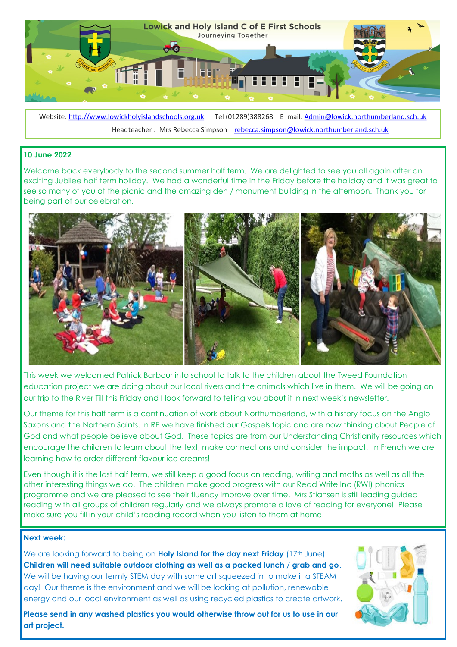

Website: <http://www.lowickholyislandschools.org.uk>Tel (01289)388268 E mail: Admin@lowick.northumberland.sch.uk Headteacher : Mrs Rebecca Simpson [rebecca.simpson@lowick.northumberland.sch.uk](mailto:rebecca.simpson@lowick.northumberland.sch.uk)

# **10 June 2022**

Welcome back everybody to the second summer half term. We are delighted to see you all again after an exciting Jubilee half term holiday. We had a wonderful time in the Friday before the holiday and it was great to see so many of you at the picnic and the amazing den / monument building in the afternoon. Thank you for being part of our celebration.



This week we welcomed Patrick Barbour into school to talk to the children about the Tweed Foundation education project we are doing about our local rivers and the animals which live in them. We will be going on our trip to the River Till this Friday and I look forward to telling you about it in next week's newsletter.

Our theme for this half term is a continuation of work about Northumberland, with a history focus on the Anglo Saxons and the Northern Saints. In RE we have finished our Gospels topic and are now thinking about People of God and what people believe about God. These topics are from our Understanding Christianity resources which encourage the children to learn about the text, make connections and consider the impact. In French we are learning how to order different flavour ice creams!

Even though it is the last half term, we still keep a good focus on reading, writing and maths as well as all the other interesting things we do. The children make good progress with our Read Write Inc (RWI) phonics programme and we are pleased to see their fluency improve over time. Mrs Stiansen is still leading guided reading with all groups of children regularly and we always promote a love of reading for everyone! Please make sure you fill in your child's reading record when you listen to them at home.

### **Next week:**

We are looking forward to being on **Holy Island for the day next Friday** (17<sup>th</sup> June). **Children will need suitable outdoor clothing as well as a packed lunch / grab and go**. We will be having our termly STEM day with some art squeezed in to make it a STEAM day! Our theme is the environment and we will be looking at pollution, renewable energy and our local environment as well as using recycled plastics to create artwork.